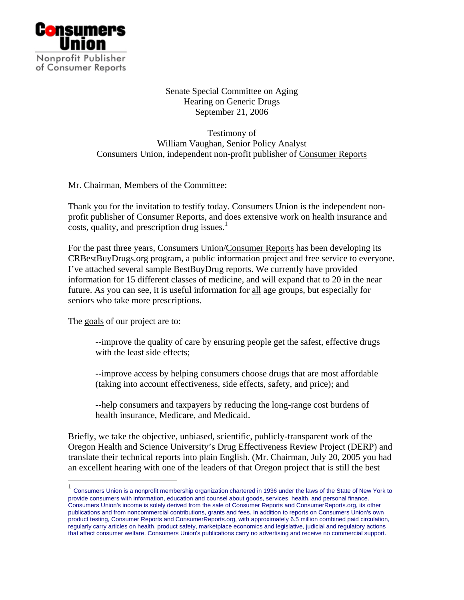

Senate Special Committee on Aging Hearing on Generic Drugs September 21, 2006

Testimony of William Vaughan, Senior Policy Analyst Consumers Union, independent non-profit publisher of Consumer Reports

Mr. Chairman, Members of the Committee:

Thank you for the invitation to testify today. Consumers Union is the independent nonprofit publisher of Consumer Reports, and does extensive work on health insurance and  $\frac{1}{\sqrt{1-\frac{1}{\sqrt{1-\frac{1}{\sqrt{1-\frac{1}{\sqrt{1-\frac{1}{\sqrt{1-\frac{1}{\sqrt{1-\frac{1}{\sqrt{1-\frac{1}{\sqrt{1-\frac{1}{\sqrt{1-\frac{1}{\sqrt{1-\frac{1}{\sqrt{1-\frac{1}{\sqrt{1-\frac{1}{\sqrt{1-\frac{1}{\sqrt{1-\frac{1}{\sqrt{1-\frac{1}{\sqrt{1-\frac{1}{\sqrt{1-\frac{1}{\sqrt{1-\frac{1}{\sqrt{1-\frac{1}{\sqrt{1-\frac{1}{\sqrt{1-\frac{1}{\sqrt{1-\frac{1}{\sqrt{1-\frac{1}{\sqrt{1-\frac{1$ 

For the past three years, Consumers Union/Consumer Reports has been developing its CRBestBuyDrugs.org program, a public information project and free service to everyone. I've attached several sample BestBuyDrug reports. We currently have provided information for 15 different classes of medicine, and will expand that to 20 in the near future. As you can see, it is useful information for all age groups, but especially for seniors who take more prescriptions.

The goals of our project are to:

 $\overline{a}$ 

--improve the quality of care by ensuring people get the safest, effective drugs with the least side effects;

--improve access by helping consumers choose drugs that are most affordable (taking into account effectiveness, side effects, safety, and price); and

--help consumers and taxpayers by reducing the long-range cost burdens of health insurance, Medicare, and Medicaid.

Briefly, we take the objective, unbiased, scientific, publicly-transparent work of the Oregon Health and Science University's Drug Effectiveness Review Project (DERP) and translate their technical reports into plain English. (Mr. Chairman, July 20, 2005 you had an excellent hearing with one of the leaders of that Oregon project that is still the best

 $<sup>1</sup>$  Consumers Union is a nonprofit membership organization chartered in 1936 under the laws of the State of New York to</sup> provide consumers with information, education and counsel about goods, services, health, and personal finance. Consumers Union's income is solely derived from the sale of Consumer Reports and ConsumerReports.org, its other publications and from noncommercial contributions, grants and fees. In addition to reports on Consumers Union's own product testing, Consumer Reports and ConsumerReports.org, with approximately 6.5 million combined paid circulation, regularly carry articles on health, product safety, marketplace economics and legislative, judicial and regulatory actions that affect consumer welfare. Consumers Union's publications carry no advertising and receive no commercial support.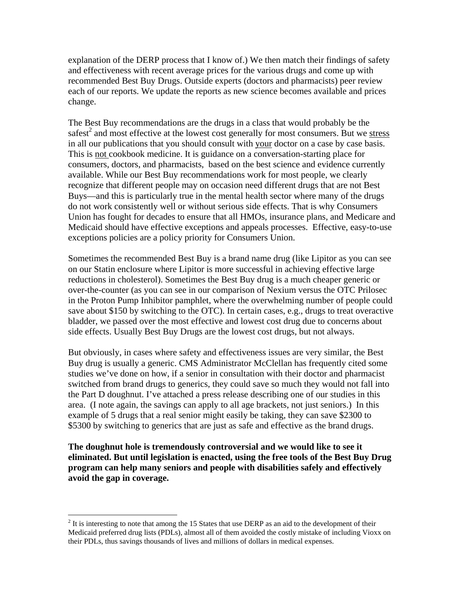explanation of the DERP process that I know of.) We then match their findings of safety and effectiveness with recent average prices for the various drugs and come up with recommended Best Buy Drugs. Outside experts (doctors and pharmacists) peer review each of our reports. We update the reports as new science becomes available and prices change.

The Best Buy recommendations are the drugs in a class that would probably be the safest<sup>2</sup> and most effective at the lowest cost generally for most consumers. But we stress in all our publications that you should consult with your doctor on a case by case basis. This is not cookbook medicine. It is guidance on a conversation-starting place for consumers, doctors, and pharmacists, based on the best science and evidence currently available. While our Best Buy recommendations work for most people, we clearly recognize that different people may on occasion need different drugs that are not Best Buys—and this is particularly true in the mental health sector where many of the drugs do not work consistently well or without serious side effects. That is why Consumers Union has fought for decades to ensure that all HMOs, insurance plans, and Medicare and Medicaid should have effective exceptions and appeals processes. Effective, easy-to-use exceptions policies are a policy priority for Consumers Union.

Sometimes the recommended Best Buy is a brand name drug (like Lipitor as you can see on our Statin enclosure where Lipitor is more successful in achieving effective large reductions in cholesterol). Sometimes the Best Buy drug is a much cheaper generic or over-the-counter (as you can see in our comparison of Nexium versus the OTC Prilosec in the Proton Pump Inhibitor pamphlet, where the overwhelming number of people could save about \$150 by switching to the OTC). In certain cases, e.g., drugs to treat overactive bladder, we passed over the most effective and lowest cost drug due to concerns about side effects. Usually Best Buy Drugs are the lowest cost drugs, but not always.

But obviously, in cases where safety and effectiveness issues are very similar, the Best Buy drug is usually a generic. CMS Administrator McClellan has frequently cited some studies we've done on how, if a senior in consultation with their doctor and pharmacist switched from brand drugs to generics, they could save so much they would not fall into the Part D doughnut. I've attached a press release describing one of our studies in this area. (I note again, the savings can apply to all age brackets, not just seniors.) In this example of 5 drugs that a real senior might easily be taking, they can save \$2300 to \$5300 by switching to generics that are just as safe and effective as the brand drugs.

**The doughnut hole is tremendously controversial and we would like to see it eliminated. But until legislation is enacted, using the free tools of the Best Buy Drug program can help many seniors and people with disabilities safely and effectively avoid the gap in coverage.** 

 $\overline{a}$ 

 $2<sup>2</sup>$  It is interesting to note that among the 15 States that use DERP as an aid to the development of their Medicaid preferred drug lists (PDLs), almost all of them avoided the costly mistake of including Vioxx on their PDLs, thus savings thousands of lives and millions of dollars in medical expenses.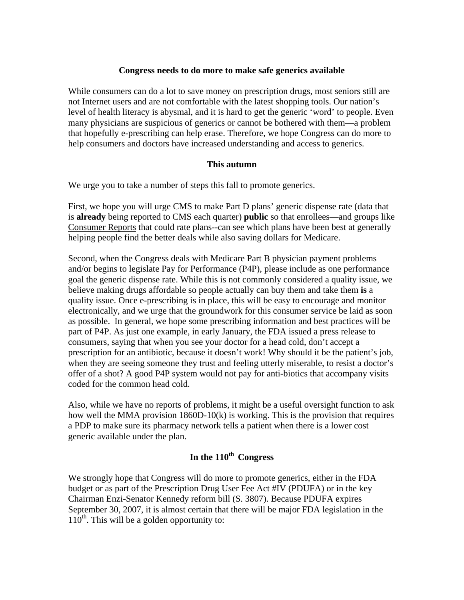## **Congress needs to do more to make safe generics available**

While consumers can do a lot to save money on prescription drugs, most seniors still are not Internet users and are not comfortable with the latest shopping tools. Our nation's level of health literacy is abysmal, and it is hard to get the generic 'word' to people. Even many physicians are suspicious of generics or cannot be bothered with them—a problem that hopefully e-prescribing can help erase. Therefore, we hope Congress can do more to help consumers and doctors have increased understanding and access to generics.

## **This autumn**

We urge you to take a number of steps this fall to promote generics.

First, we hope you will urge CMS to make Part D plans' generic dispense rate (data that is **already** being reported to CMS each quarter) **public** so that enrollees—and groups like Consumer Reports that could rate plans--can see which plans have been best at generally helping people find the better deals while also saving dollars for Medicare.

Second, when the Congress deals with Medicare Part B physician payment problems and/or begins to legislate Pay for Performance (P4P), please include as one performance goal the generic dispense rate. While this is not commonly considered a quality issue, we believe making drugs affordable so people actually can buy them and take them **is** a quality issue. Once e-prescribing is in place, this will be easy to encourage and monitor electronically, and we urge that the groundwork for this consumer service be laid as soon as possible. In general, we hope some prescribing information and best practices will be part of P4P. As just one example, in early January, the FDA issued a press release to consumers, saying that when you see your doctor for a head cold, don't accept a prescription for an antibiotic, because it doesn't work! Why should it be the patient's job, when they are seeing someone they trust and feeling utterly miserable, to resist a doctor's offer of a shot? A good P4P system would not pay for anti-biotics that accompany visits coded for the common head cold.

Also, while we have no reports of problems, it might be a useful oversight function to ask how well the MMA provision 1860D-10(k) is working. This is the provision that requires a PDP to make sure its pharmacy network tells a patient when there is a lower cost generic available under the plan.

## In the 110<sup>th</sup> Congress

We strongly hope that Congress will do more to promote generics, either in the FDA budget or as part of the Prescription Drug User Fee Act #IV (PDUFA) or in the key Chairman Enzi-Senator Kennedy reform bill (S. 3807). Because PDUFA expires September 30, 2007, it is almost certain that there will be major FDA legislation in the  $110<sup>th</sup>$ . This will be a golden opportunity to: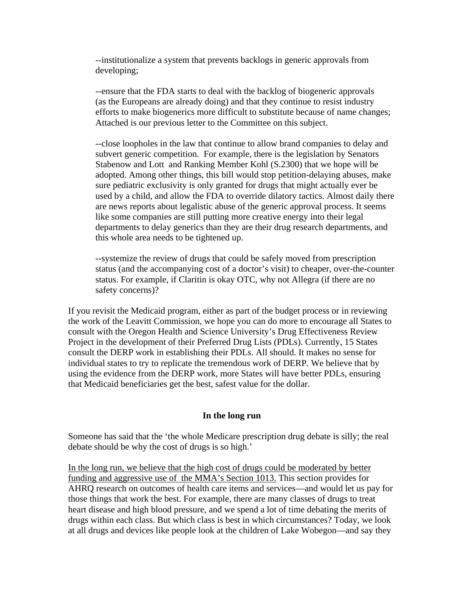--institutionalize a system that prevents backlogs in generic approvals from developing;

 --ensure that the FDA starts to deal with the backlog of biogeneric approvals (as the Europeans are already doing) and that they continue to resist industry efforts to make biogenerics more difficult to substitute because of name changes; Attached is our previous letter to the Committee on this subject.

--close loopholes in the law that continue to allow brand companies to delay and subvert generic competition. For example, there is the legislation by Senators Stabenow and Lott and Ranking Member Kohl (S.2300) that we hope will be adopted. Among other things, this bill would stop petition-delaying abuses, make sure pediatric exclusivity is only granted for drugs that might actually ever be used by a child, and allow the FDA to override dilatory tactics. Almost daily there are news reports about legalistic abuse of the generic approval process. It seems like some companies are still putting more creative energy into their legal departments to delay generics than they are their drug research departments, and this whole area needs to be tightened up.

--systemize the review of drugs that could be safely moved from prescription status (and the accompanying cost of a doctor's visit) to cheaper, over-the-counter status. For example, if Claritin is okay OTC, why not Allegra (if there are no safety concerns)?

If you revisit the Medicaid program, either as part of the budget process or in reviewing the work of the Leavitt Commission, we hope you can do more to encourage all States to consult with the Oregon Health and Science University's Drug Effectiveness Review Project in the development of their Preferred Drug Lists (PDLs). Currently, 15 States consult the DERP work in establishing their PDLs. All should. It makes no sense for individual states to try to replicate the tremendous work of DERP. We believe that by using the evidence from the DERP work, more States will have better PDLs, ensuring that Medicaid beneficiaries get the best, safest value for the dollar.

## **In the long run**

Someone has said that the 'the whole Medicare prescription drug debate is silly; the real debate should be why the cost of drugs is so high.'

In the long run, we believe that the high cost of drugs could be moderated by better funding and aggressive use of the MMA's Section 1013. This section provides for AHRQ research on outcomes of health care items and services—and would let us pay for those things that work the best. For example, there are many classes of drugs to treat heart disease and high blood pressure, and we spend a lot of time debating the merits of drugs within each class. But which class is best in which circumstances? Today, we look at all drugs and devices like people look at the children of Lake Wobegon—and say they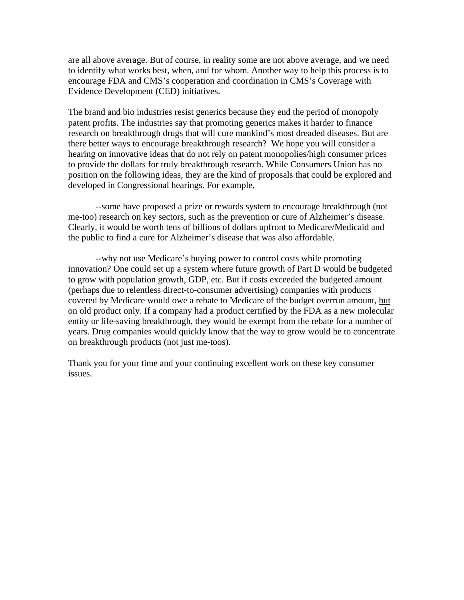are all above average. But of course, in reality some are not above average, and we need to identify what works best, when, and for whom. Another way to help this process is to encourage FDA and CMS's cooperation and coordination in CMS's Coverage with Evidence Development (CED) initiatives.

The brand and bio industries resist generics because they end the period of monopoly patent profits. The industries say that promoting generics makes it harder to finance research on breakthrough drugs that will cure mankind's most dreaded diseases. But are there better ways to encourage breakthrough research? We hope you will consider a hearing on innovative ideas that do not rely on patent monopolies/high consumer prices to provide the dollars for truly breakthrough research. While Consumers Union has no position on the following ideas, they are the kind of proposals that could be explored and developed in Congressional hearings. For example,

 --some have proposed a prize or rewards system to encourage breakthrough (not me-too) research on key sectors, such as the prevention or cure of Alzheimer's disease. Clearly, it would be worth tens of billions of dollars upfront to Medicare/Medicaid and the public to find a cure for Alzheimer's disease that was also affordable.

 --why not use Medicare's buying power to control costs while promoting innovation? One could set up a system where future growth of Part D would be budgeted to grow with population growth, GDP, etc. But if costs exceeded the budgeted amount (perhaps due to relentless direct-to-consumer advertising) companies with products covered by Medicare would owe a rebate to Medicare of the budget overrun amount, but on old product only. If a company had a product certified by the FDA as a new molecular entity or life-saving breakthrough, they would be exempt from the rebate for a number of years. Drug companies would quickly know that the way to grow would be to concentrate on breakthrough products (not just me-toos).

Thank you for your time and your continuing excellent work on these key consumer issues.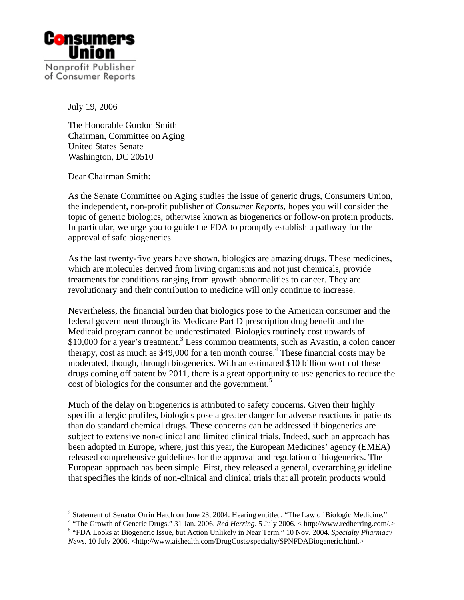

July 19, 2006

The Honorable Gordon Smith Chairman, Committee on Aging United States Senate Washington, DC 20510

Dear Chairman Smith:

As the Senate Committee on Aging studies the issue of generic drugs, Consumers Union, the independent, non-profit publisher of *Consumer Reports*, hopes you will consider the topic of generic biologics, otherwise known as biogenerics or follow-on protein products. In particular, we urge you to guide the FDA to promptly establish a pathway for the approval of safe biogenerics.

As the last twenty-five years have shown, biologics are amazing drugs. These medicines, which are molecules derived from living organisms and not just chemicals, provide treatments for conditions ranging from growth abnormalities to cancer. They are revolutionary and their contribution to medicine will only continue to increase.

Nevertheless, the financial burden that biologics pose to the American consumer and the federal government through its Medicare Part D prescription drug benefit and the Medicaid program cannot be underestimated. Biologics routinely cost upwards of \$10,000 for a year's treatment.<sup>3</sup> Less common treatments, such as Avastin, a colon cancer therapy, cost as much as  $$49,000$  for a ten month course.<sup>4</sup> These financial costs may be moderated, though, through biogenerics. With an estimated \$10 billion worth of these drugs coming off patent by 2011, there is a great opportunity to use generics to reduce the cost of biologics for the consumer and the government.<sup>5</sup>

Much of the delay on biogenerics is attributed to safety concerns. Given their highly specific allergic profiles, biologics pose a greater danger for adverse reactions in patients than do standard chemical drugs. These concerns can be addressed if biogenerics are subject to extensive non-clinical and limited clinical trials. Indeed, such an approach has been adopted in Europe, where, just this year, the European Medicines' agency (EMEA) released comprehensive guidelines for the approval and regulation of biogenerics. The European approach has been simple. First, they released a general, overarching guideline that specifies the kinds of non-clinical and clinical trials that all protein products would

<sup>&</sup>lt;sup>3</sup> Statement of Senator Orrin Hatch on June 23, 2004. Hearing entitled, "The Law of Biologic Medicine."<br><sup>4</sup> "The Grouth of Generic Drugs," 21 Jan. 2006. *Ped Herring*, 5 July 2006. <br/> http://www.redberring.com/

<sup>&</sup>lt;sup>4</sup> "The Growth of Generic Drugs." 31 Jan. 2006. *Red Herring*. 5 July 2006. < http://www.redherring.com/.> <sup>5</sup> "FDA Looks at Biogeneric Issue, but Action Unlikely in Near Term." 10 Nov. 2004. *Specialty Pharmacy News.* 10 July 2006. <http://www.aishealth.com/DrugCosts/specialty/SPNFDABiogeneric.html.>